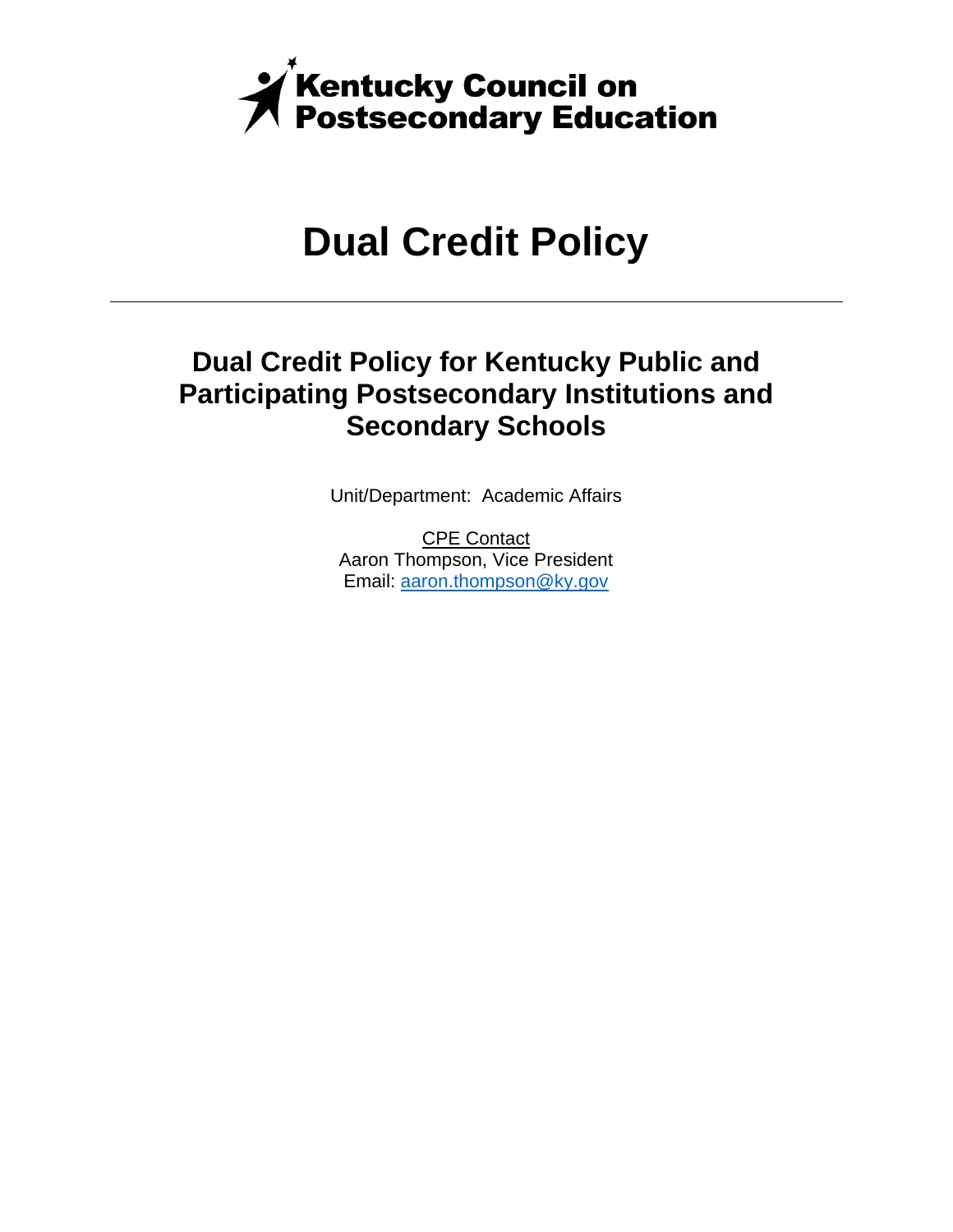

# **Dual Credit Policy**

## **Dual Credit Policy for Kentucky Public and Participating Postsecondary Institutions and Secondary Schools**

Unit/Department: Academic Affairs

CPE Contact Aaron Thompson, Vice President Email: aaron.thompson@ky.gov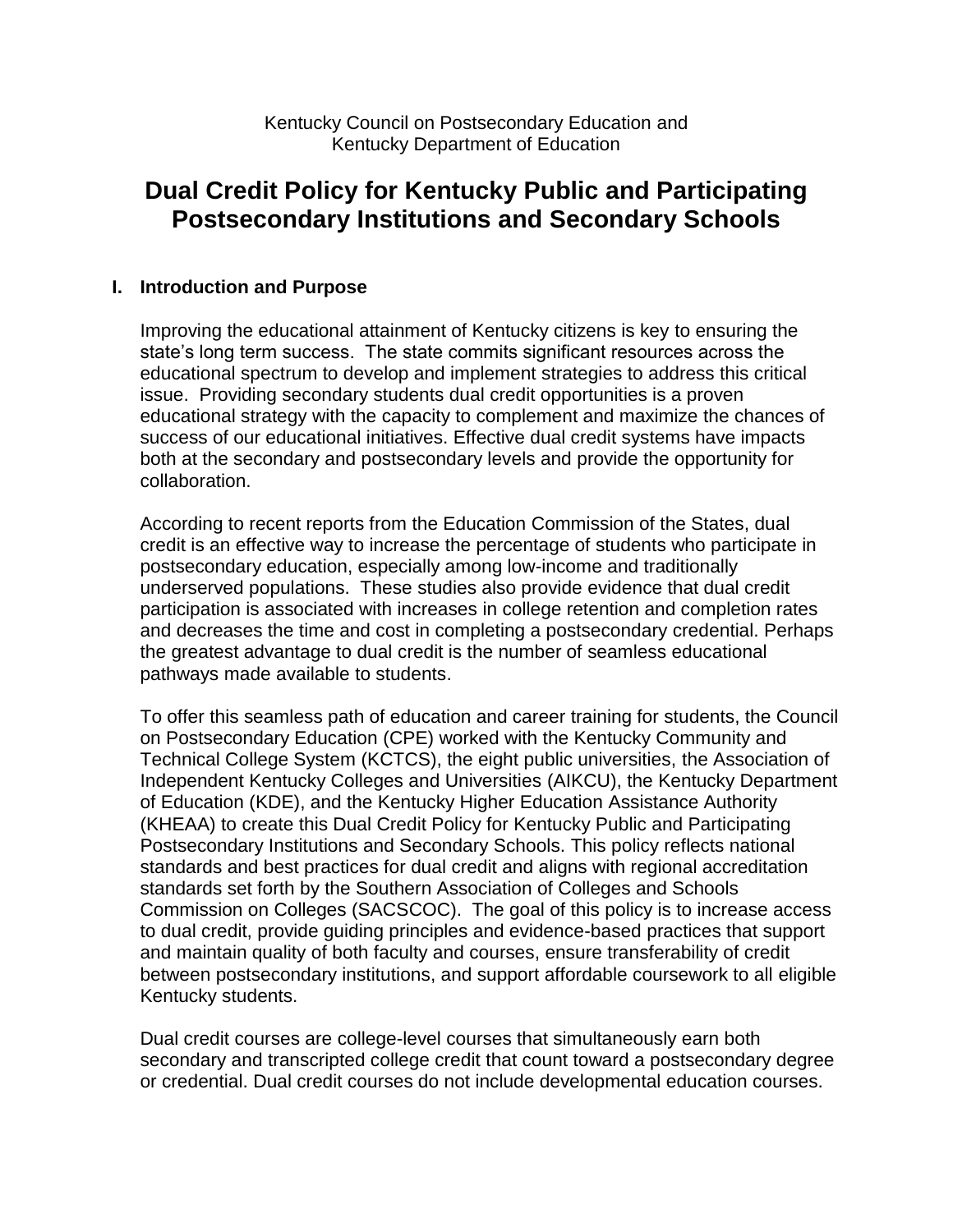### **Dual Credit Policy for Kentucky Public and Participating Postsecondary Institutions and Secondary Schools**

#### **I. Introduction and Purpose**

Improving the educational attainment of Kentucky citizens is key to ensuring the state's long term success. The state commits significant resources across the educational spectrum to develop and implement strategies to address this critical issue. Providing secondary students dual credit opportunities is a proven educational strategy with the capacity to complement and maximize the chances of success of our educational initiatives. Effective dual credit systems have impacts both at the secondary and postsecondary levels and provide the opportunity for collaboration.

According to recent reports from the Education Commission of the States, dual credit is an effective way to increase the percentage of students who participate in postsecondary education, especially among low-income and traditionally underserved populations. These studies also provide evidence that dual credit participation is associated with increases in college retention and completion rates and decreases the time and cost in completing a postsecondary credential. Perhaps the greatest advantage to dual credit is the number of seamless educational pathways made available to students.

To offer this seamless path of education and career training for students, the Council on Postsecondary Education (CPE) worked with the Kentucky Community and Technical College System (KCTCS), the eight public universities, the Association of Independent Kentucky Colleges and Universities (AIKCU), the Kentucky Department of Education (KDE), and the Kentucky Higher Education Assistance Authority (KHEAA) to create this Dual Credit Policy for Kentucky Public and Participating Postsecondary Institutions and Secondary Schools. This policy reflects national standards and best practices for dual credit and aligns with regional accreditation standards set forth by the Southern Association of Colleges and Schools Commission on Colleges (SACSCOC). The goal of this policy is to increase access to dual credit, provide guiding principles and evidence-based practices that support and maintain quality of both faculty and courses, ensure transferability of credit between postsecondary institutions, and support affordable coursework to all eligible Kentucky students.

Dual credit courses are college-level courses that simultaneously earn both secondary and transcripted college credit that count toward a postsecondary degree or credential. Dual credit courses do not include developmental education courses.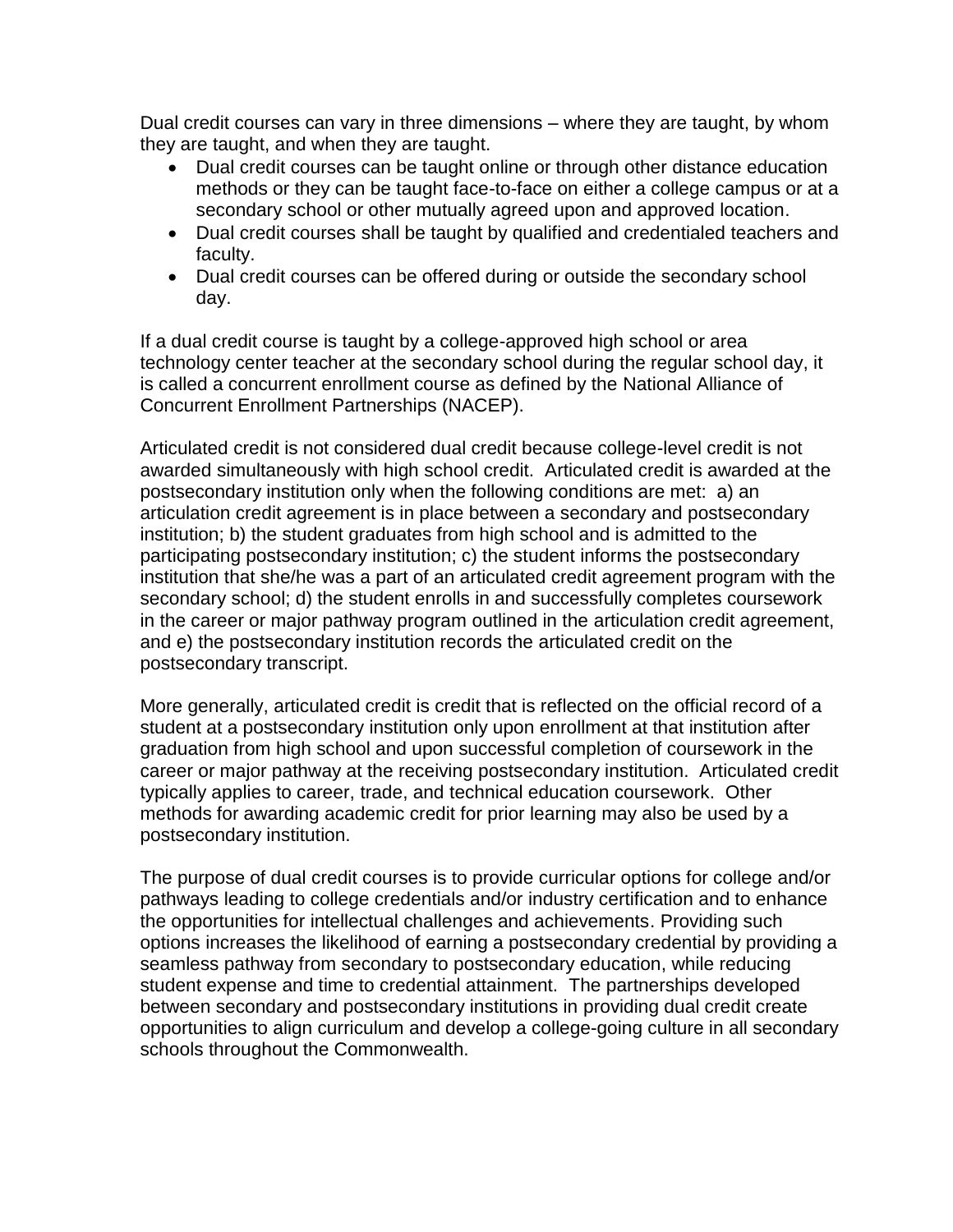Dual credit courses can vary in three dimensions – where they are taught, by whom they are taught, and when they are taught.

- Dual credit courses can be taught online or through other distance education methods or they can be taught face-to-face on either a college campus or at a secondary school or other mutually agreed upon and approved location.
- Dual credit courses shall be taught by qualified and credentialed teachers and faculty.
- Dual credit courses can be offered during or outside the secondary school day.

If a dual credit course is taught by a college-approved high school or area technology center teacher at the secondary school during the regular school day, it is called a concurrent enrollment course as defined by the National Alliance of Concurrent Enrollment Partnerships (NACEP).

Articulated credit is not considered dual credit because college-level credit is not awarded simultaneously with high school credit. Articulated credit is awarded at the postsecondary institution only when the following conditions are met: a) an articulation credit agreement is in place between a secondary and postsecondary institution; b) the student graduates from high school and is admitted to the participating postsecondary institution; c) the student informs the postsecondary institution that she/he was a part of an articulated credit agreement program with the secondary school; d) the student enrolls in and successfully completes coursework in the career or major pathway program outlined in the articulation credit agreement, and e) the postsecondary institution records the articulated credit on the postsecondary transcript.

More generally, articulated credit is credit that is reflected on the official record of a student at a postsecondary institution only upon enrollment at that institution after graduation from high school and upon successful completion of coursework in the career or major pathway at the receiving postsecondary institution. Articulated credit typically applies to career, trade, and technical education coursework. Other methods for awarding academic credit for prior learning may also be used by a postsecondary institution.

The purpose of dual credit courses is to provide curricular options for college and/or pathways leading to college credentials and/or industry certification and to enhance the opportunities for intellectual challenges and achievements. Providing such options increases the likelihood of earning a postsecondary credential by providing a seamless pathway from secondary to postsecondary education, while reducing student expense and time to credential attainment. The partnerships developed between secondary and postsecondary institutions in providing dual credit create opportunities to align curriculum and develop a college-going culture in all secondary schools throughout the Commonwealth.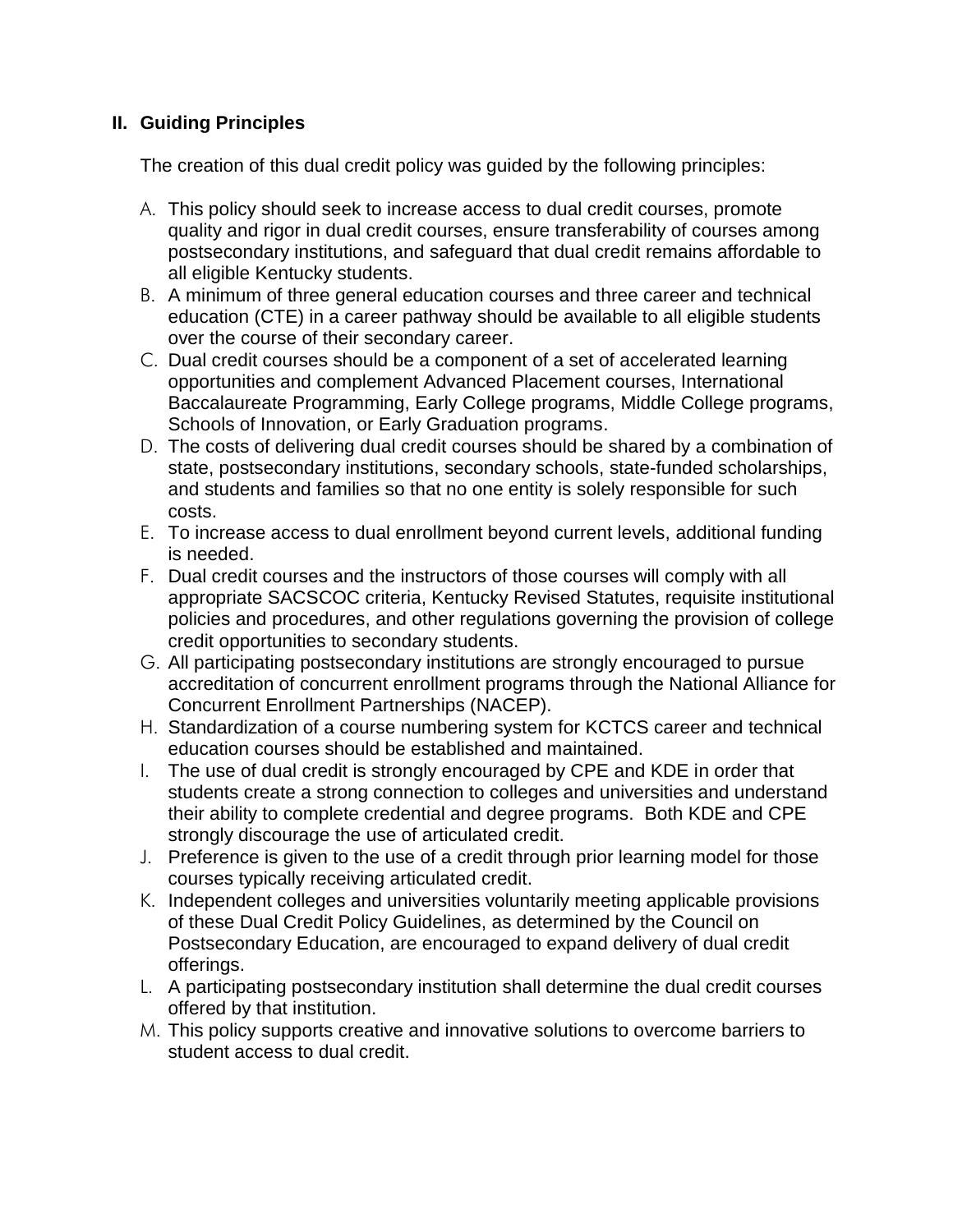#### **II. Guiding Principles**

The creation of this dual credit policy was guided by the following principles:

- A. This policy should seek to increase access to dual credit courses, promote quality and rigor in dual credit courses, ensure transferability of courses among postsecondary institutions, and safeguard that dual credit remains affordable to all eligible Kentucky students.
- B. A minimum of three general education courses and three career and technical education (CTE) in a career pathway should be available to all eligible students over the course of their secondary career.
- C. Dual credit courses should be a component of a set of accelerated learning opportunities and complement Advanced Placement courses, International Baccalaureate Programming, Early College programs, Middle College programs, Schools of Innovation, or Early Graduation programs.
- D. The costs of delivering dual credit courses should be shared by a combination of state, postsecondary institutions, secondary schools, state-funded scholarships, and students and families so that no one entity is solely responsible for such costs.
- E. To increase access to dual enrollment beyond current levels, additional funding is needed.
- F. Dual credit courses and the instructors of those courses will comply with all appropriate SACSCOC criteria, Kentucky Revised Statutes, requisite institutional policies and procedures, and other regulations governing the provision of college credit opportunities to secondary students.
- G. All participating postsecondary institutions are strongly encouraged to pursue accreditation of concurrent enrollment programs through the National Alliance for Concurrent Enrollment Partnerships (NACEP).
- H. Standardization of a course numbering system for KCTCS career and technical education courses should be established and maintained.
- I. The use of dual credit is strongly encouraged by CPE and KDE in order that students create a strong connection to colleges and universities and understand their ability to complete credential and degree programs. Both KDE and CPE strongly discourage the use of articulated credit.
- J. Preference is given to the use of a credit through prior learning model for those courses typically receiving articulated credit.
- K. Independent colleges and universities voluntarily meeting applicable provisions of these Dual Credit Policy Guidelines, as determined by the Council on Postsecondary Education, are encouraged to expand delivery of dual credit offerings.
- L. A participating postsecondary institution shall determine the dual credit courses offered by that institution.
- M. This policy supports creative and innovative solutions to overcome barriers to student access to dual credit.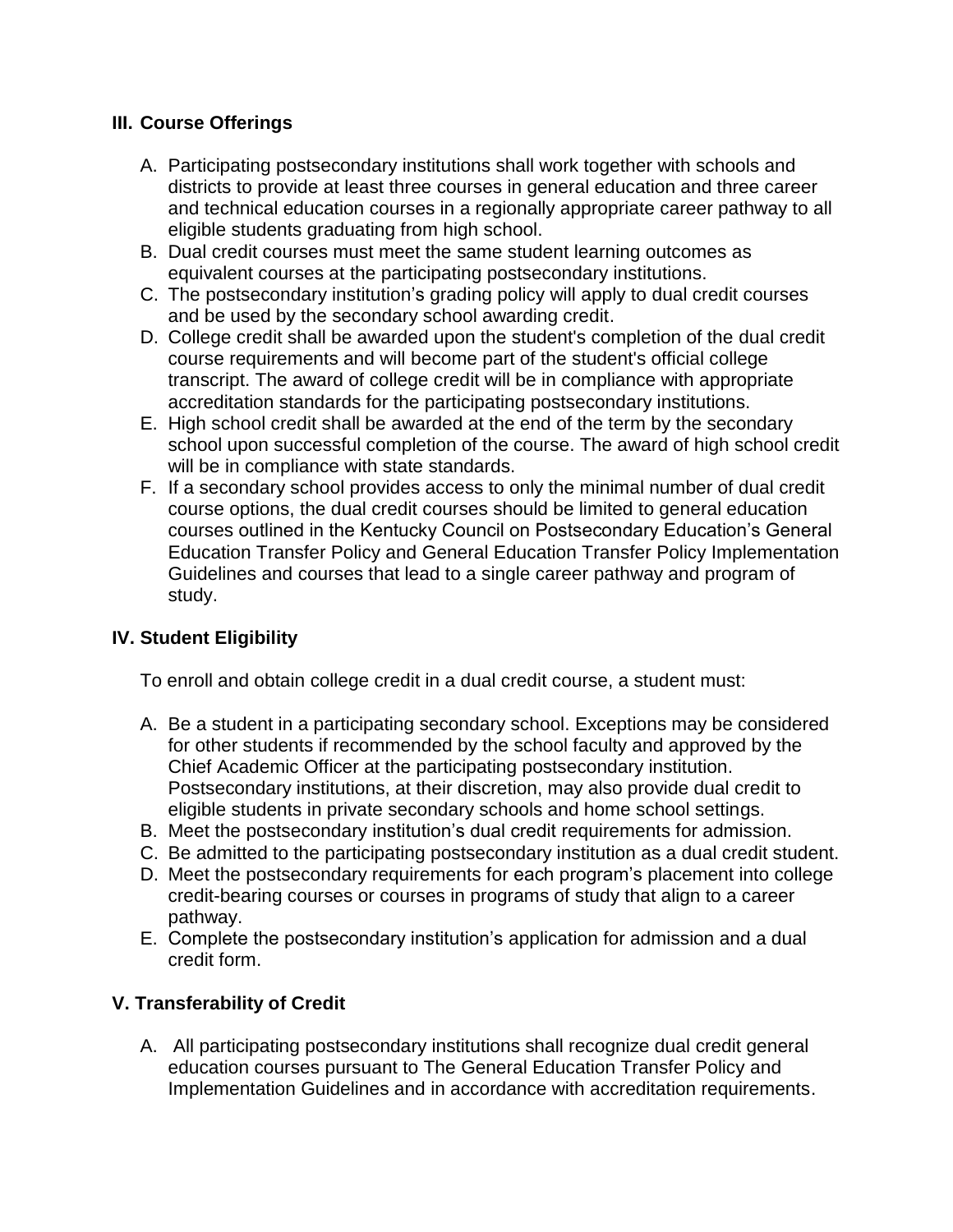#### **III. Course Offerings**

- A. Participating postsecondary institutions shall work together with schools and districts to provide at least three courses in general education and three career and technical education courses in a regionally appropriate career pathway to all eligible students graduating from high school.
- B. Dual credit courses must meet the same student learning outcomes as equivalent courses at the participating postsecondary institutions.
- C. The postsecondary institution's grading policy will apply to dual credit courses and be used by the secondary school awarding credit.
- D. College credit shall be awarded upon the student's completion of the dual credit course requirements and will become part of the student's official college transcript. The award of college credit will be in compliance with appropriate accreditation standards for the participating postsecondary institutions.
- E. High school credit shall be awarded at the end of the term by the secondary school upon successful completion of the course. The award of high school credit will be in compliance with state standards.
- F. If a secondary school provides access to only the minimal number of dual credit course options, the dual credit courses should be limited to general education courses outlined in the Kentucky Council on Postsecondary Education's General Education Transfer Policy and General Education Transfer Policy Implementation Guidelines and courses that lead to a single career pathway and program of study.

#### **IV. Student Eligibility**

To enroll and obtain college credit in a dual credit course, a student must:

- A. Be a student in a participating secondary school. Exceptions may be considered for other students if recommended by the school faculty and approved by the Chief Academic Officer at the participating postsecondary institution. Postsecondary institutions, at their discretion, may also provide dual credit to eligible students in private secondary schools and home school settings.
- B. Meet the postsecondary institution's dual credit requirements for admission.
- C. Be admitted to the participating postsecondary institution as a dual credit student.
- D. Meet the postsecondary requirements for each program's placement into college credit-bearing courses or courses in programs of study that align to a career pathway.
- E. Complete the postsecondary institution's application for admission and a dual credit form.

#### **V. Transferability of Credit**

A. All participating postsecondary institutions shall recognize dual credit general education courses pursuant to The General Education Transfer Policy and Implementation Guidelines and in accordance with accreditation requirements.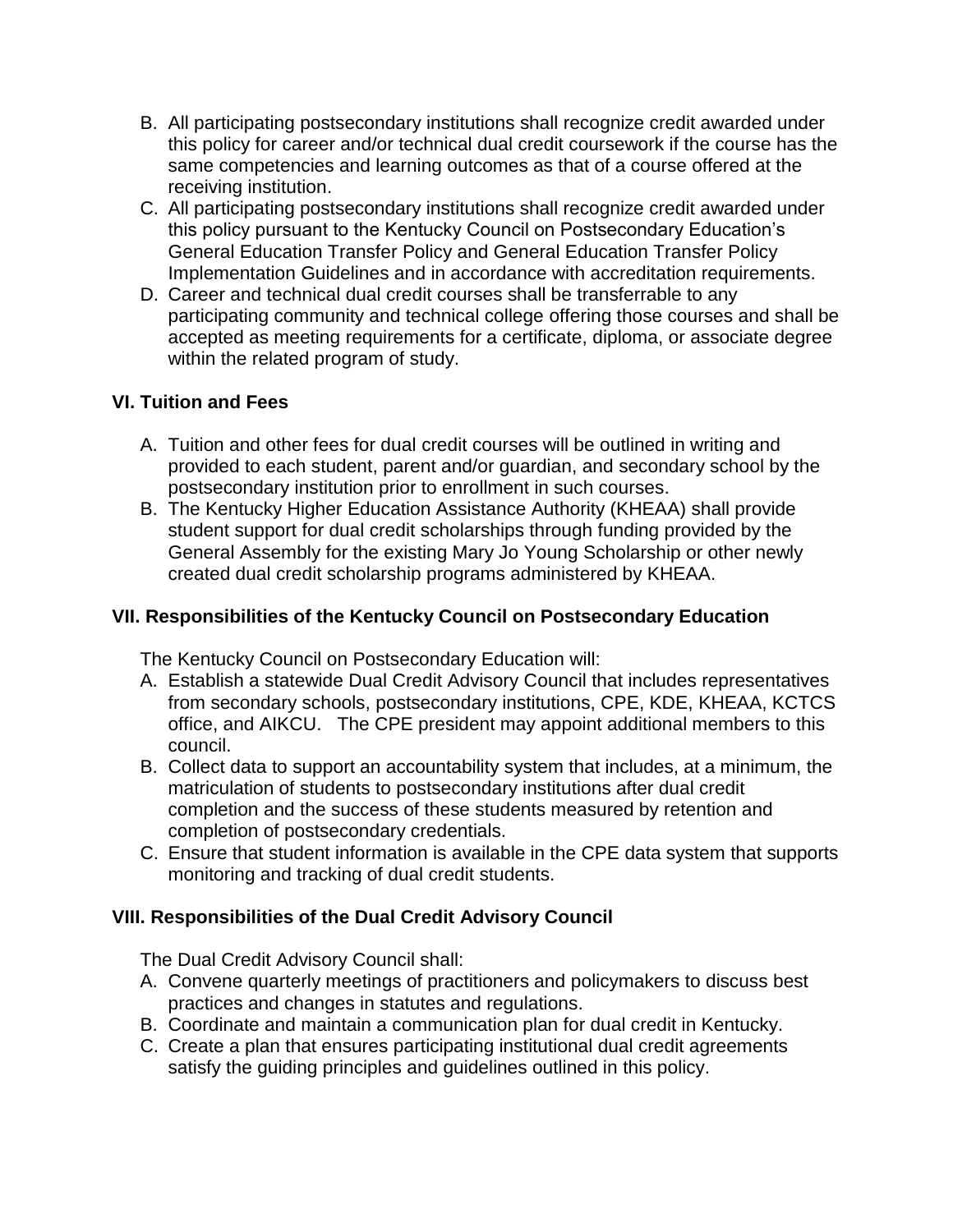- B. All participating postsecondary institutions shall recognize credit awarded under this policy for career and/or technical dual credit coursework if the course has the same competencies and learning outcomes as that of a course offered at the receiving institution.
- C. All participating postsecondary institutions shall recognize credit awarded under this policy pursuant to the Kentucky Council on Postsecondary Education's General Education Transfer Policy and General Education Transfer Policy Implementation Guidelines and in accordance with accreditation requirements.
- D. Career and technical dual credit courses shall be transferrable to any participating community and technical college offering those courses and shall be accepted as meeting requirements for a certificate, diploma, or associate degree within the related program of study.

#### **VI. Tuition and Fees**

- A. Tuition and other fees for dual credit courses will be outlined in writing and provided to each student, parent and/or guardian, and secondary school by the postsecondary institution prior to enrollment in such courses.
- B. The Kentucky Higher Education Assistance Authority (KHEAA) shall provide student support for dual credit scholarships through funding provided by the General Assembly for the existing Mary Jo Young Scholarship or other newly created dual credit scholarship programs administered by KHEAA.

#### **VII. Responsibilities of the Kentucky Council on Postsecondary Education**

The Kentucky Council on Postsecondary Education will:

- A. Establish a statewide Dual Credit Advisory Council that includes representatives from secondary schools, postsecondary institutions, CPE, KDE, KHEAA, KCTCS office, and AIKCU. The CPE president may appoint additional members to this council.
- B. Collect data to support an accountability system that includes, at a minimum, the matriculation of students to postsecondary institutions after dual credit completion and the success of these students measured by retention and completion of postsecondary credentials.
- C. Ensure that student information is available in the CPE data system that supports monitoring and tracking of dual credit students.

#### **VIII. Responsibilities of the Dual Credit Advisory Council**

The Dual Credit Advisory Council shall:

- A. Convene quarterly meetings of practitioners and policymakers to discuss best practices and changes in statutes and regulations.
- B. Coordinate and maintain a communication plan for dual credit in Kentucky.
- C. Create a plan that ensures participating institutional dual credit agreements satisfy the guiding principles and guidelines outlined in this policy.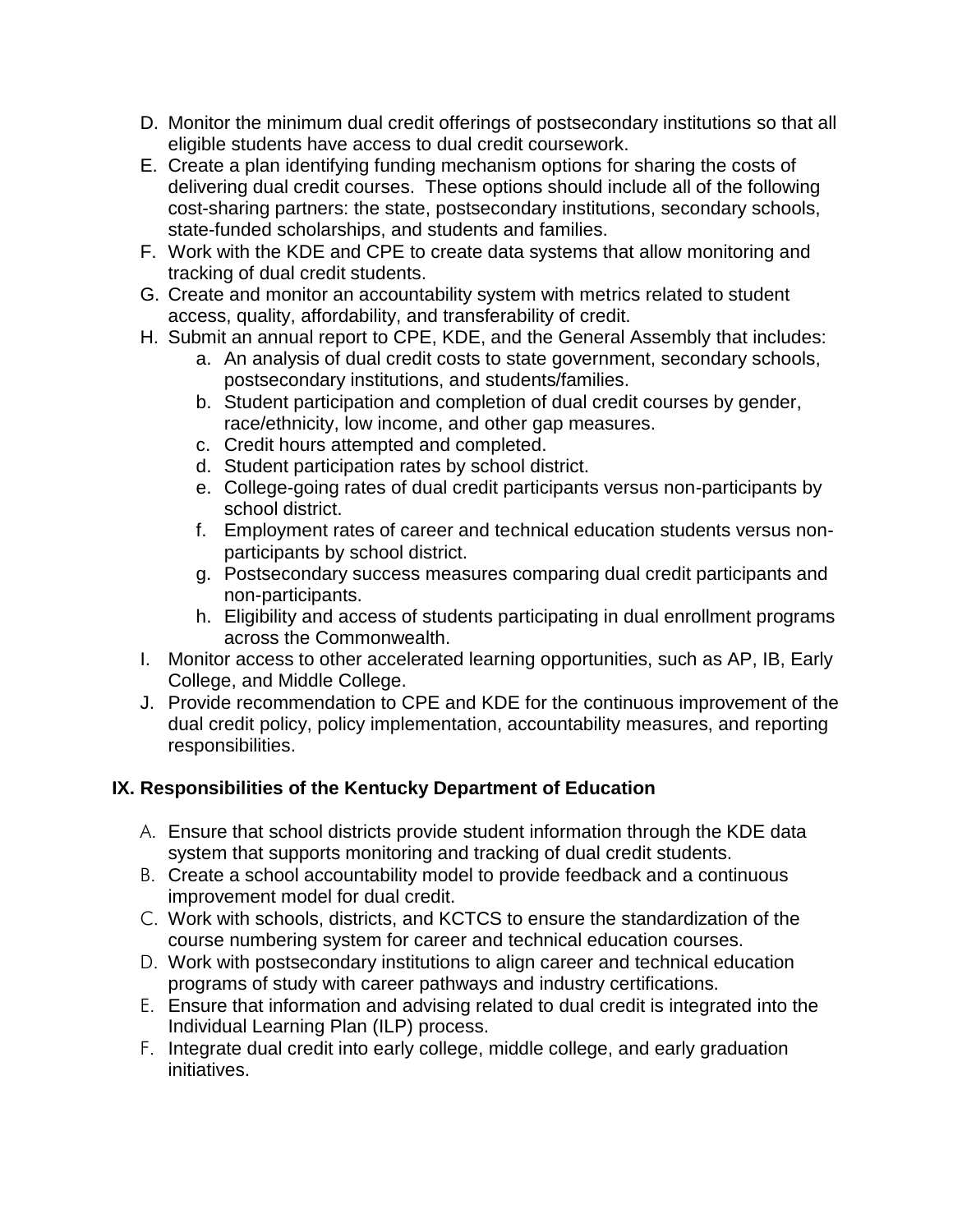- D. Monitor the minimum dual credit offerings of postsecondary institutions so that all eligible students have access to dual credit coursework.
- E. Create a plan identifying funding mechanism options for sharing the costs of delivering dual credit courses. These options should include all of the following cost-sharing partners: the state, postsecondary institutions, secondary schools, state-funded scholarships, and students and families.
- F. Work with the KDE and CPE to create data systems that allow monitoring and tracking of dual credit students.
- G. Create and monitor an accountability system with metrics related to student access, quality, affordability, and transferability of credit.
- H. Submit an annual report to CPE, KDE, and the General Assembly that includes:
	- a. An analysis of dual credit costs to state government, secondary schools, postsecondary institutions, and students/families.
	- b. Student participation and completion of dual credit courses by gender, race/ethnicity, low income, and other gap measures.
	- c. Credit hours attempted and completed.
	- d. Student participation rates by school district.
	- e. College-going rates of dual credit participants versus non-participants by school district.
	- f. Employment rates of career and technical education students versus nonparticipants by school district.
	- g. Postsecondary success measures comparing dual credit participants and non-participants.
	- h. Eligibility and access of students participating in dual enrollment programs across the Commonwealth.
- I. Monitor access to other accelerated learning opportunities, such as AP, IB, Early College, and Middle College.
- J. Provide recommendation to CPE and KDE for the continuous improvement of the dual credit policy, policy implementation, accountability measures, and reporting responsibilities.

#### **IX. Responsibilities of the Kentucky Department of Education**

- A. Ensure that school districts provide student information through the KDE data system that supports monitoring and tracking of dual credit students.
- B. Create a school accountability model to provide feedback and a continuous improvement model for dual credit.
- C. Work with schools, districts, and KCTCS to ensure the standardization of the course numbering system for career and technical education courses.
- D. Work with postsecondary institutions to align career and technical education programs of study with career pathways and industry certifications.
- E. Ensure that information and advising related to dual credit is integrated into the Individual Learning Plan (ILP) process.
- F. Integrate dual credit into early college, middle college, and early graduation initiatives.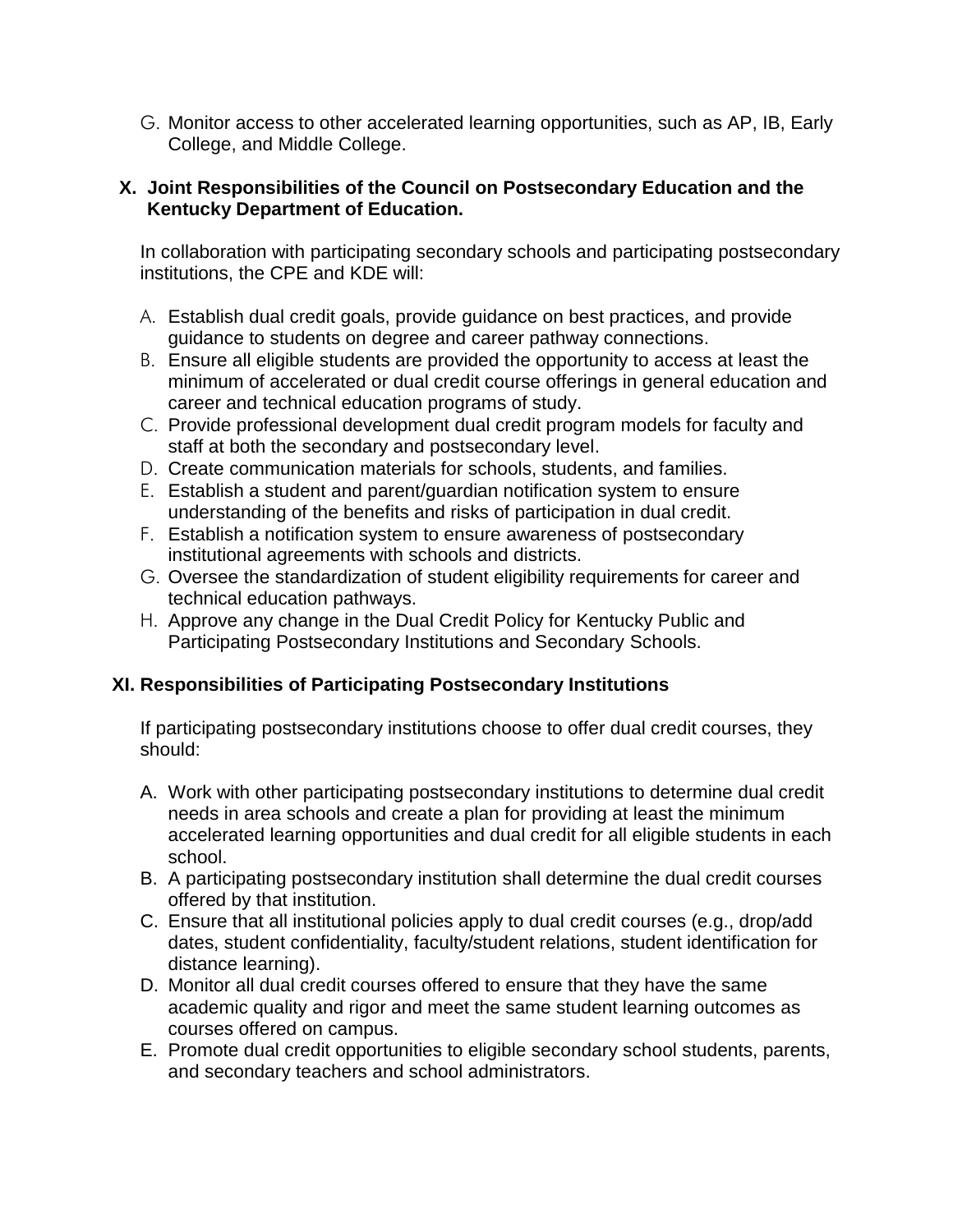G. Monitor access to other accelerated learning opportunities, such as AP, IB, Early College, and Middle College.

#### **X. Joint Responsibilities of the Council on Postsecondary Education and the Kentucky Department of Education.**

In collaboration with participating secondary schools and participating postsecondary institutions, the CPE and KDE will:

- A. Establish dual credit goals, provide guidance on best practices, and provide guidance to students on degree and career pathway connections.
- B. Ensure all eligible students are provided the opportunity to access at least the minimum of accelerated or dual credit course offerings in general education and career and technical education programs of study.
- C. Provide professional development dual credit program models for faculty and staff at both the secondary and postsecondary level.
- D. Create communication materials for schools, students, and families.
- E. Establish a student and parent/guardian notification system to ensure understanding of the benefits and risks of participation in dual credit.
- F. Establish a notification system to ensure awareness of postsecondary institutional agreements with schools and districts.
- G. Oversee the standardization of student eligibility requirements for career and technical education pathways.
- H. Approve any change in the Dual Credit Policy for Kentucky Public and Participating Postsecondary Institutions and Secondary Schools.

#### **XI. Responsibilities of Participating Postsecondary Institutions**

If participating postsecondary institutions choose to offer dual credit courses, they should:

- A. Work with other participating postsecondary institutions to determine dual credit needs in area schools and create a plan for providing at least the minimum accelerated learning opportunities and dual credit for all eligible students in each school.
- B. A participating postsecondary institution shall determine the dual credit courses offered by that institution.
- C. Ensure that all institutional policies apply to dual credit courses (e.g., drop/add dates, student confidentiality, faculty/student relations, student identification for distance learning).
- D. Monitor all dual credit courses offered to ensure that they have the same academic quality and rigor and meet the same student learning outcomes as courses offered on campus.
- E. Promote dual credit opportunities to eligible secondary school students, parents, and secondary teachers and school administrators.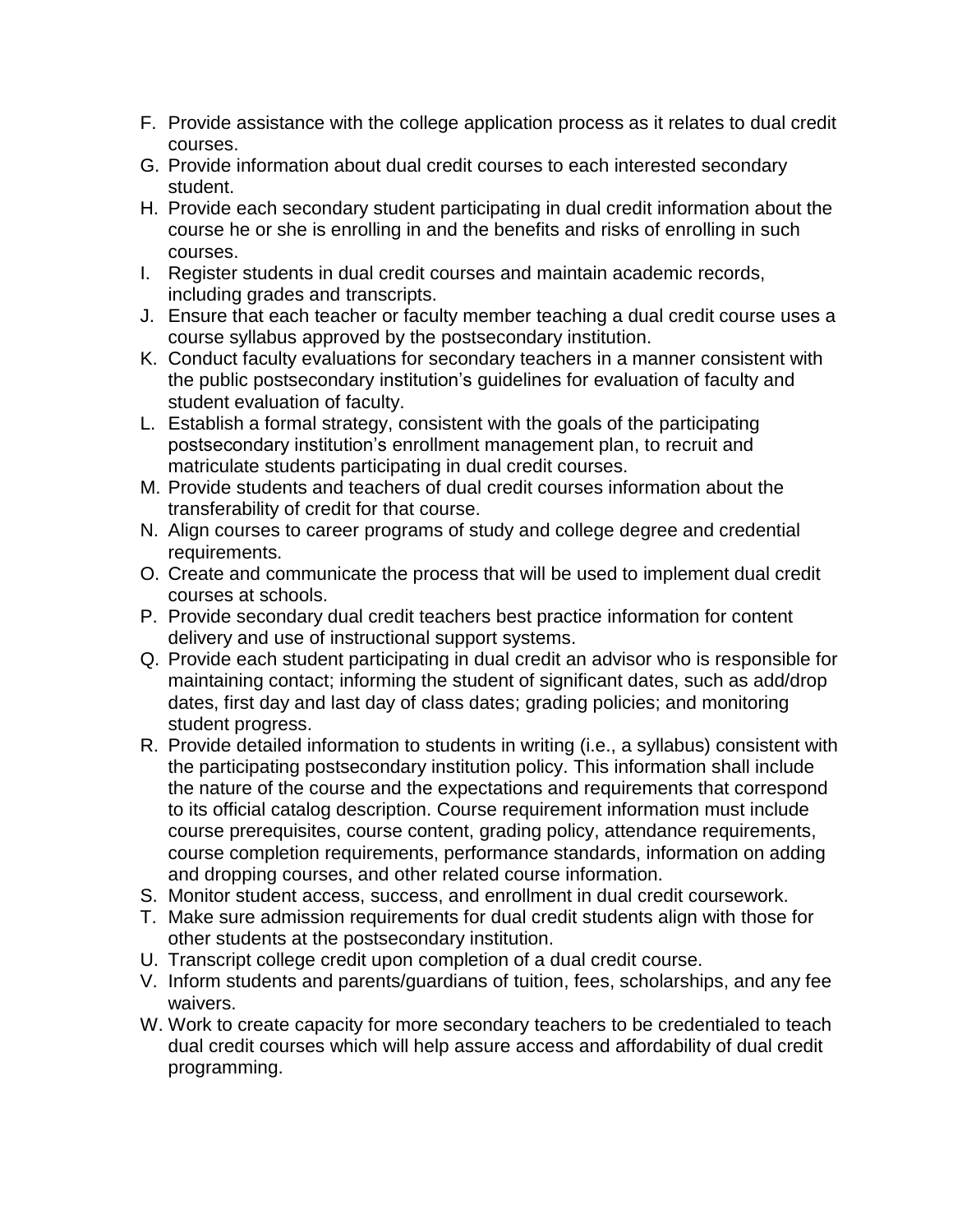- F. Provide assistance with the college application process as it relates to dual credit courses.
- G. Provide information about dual credit courses to each interested secondary student.
- H. Provide each secondary student participating in dual credit information about the course he or she is enrolling in and the benefits and risks of enrolling in such courses.
- I. Register students in dual credit courses and maintain academic records, including grades and transcripts.
- J. Ensure that each teacher or faculty member teaching a dual credit course uses a course syllabus approved by the postsecondary institution.
- K. Conduct faculty evaluations for secondary teachers in a manner consistent with the public postsecondary institution's guidelines for evaluation of faculty and student evaluation of faculty.
- L. Establish a formal strategy, consistent with the goals of the participating postsecondary institution's enrollment management plan, to recruit and matriculate students participating in dual credit courses.
- M. Provide students and teachers of dual credit courses information about the transferability of credit for that course.
- N. Align courses to career programs of study and college degree and credential requirements.
- O. Create and communicate the process that will be used to implement dual credit courses at schools.
- P. Provide secondary dual credit teachers best practice information for content delivery and use of instructional support systems.
- Q. Provide each student participating in dual credit an advisor who is responsible for maintaining contact; informing the student of significant dates, such as add/drop dates, first day and last day of class dates; grading policies; and monitoring student progress.
- R. Provide detailed information to students in writing (i.e., a syllabus) consistent with the participating postsecondary institution policy. This information shall include the nature of the course and the expectations and requirements that correspond to its official catalog description. Course requirement information must include course prerequisites, course content, grading policy, attendance requirements, course completion requirements, performance standards, information on adding and dropping courses, and other related course information.
- S. Monitor student access, success, and enrollment in dual credit coursework.
- T. Make sure admission requirements for dual credit students align with those for other students at the postsecondary institution.
- U. Transcript college credit upon completion of a dual credit course.
- V. Inform students and parents/guardians of tuition, fees, scholarships, and any fee waivers.
- W. Work to create capacity for more secondary teachers to be credentialed to teach dual credit courses which will help assure access and affordability of dual credit programming.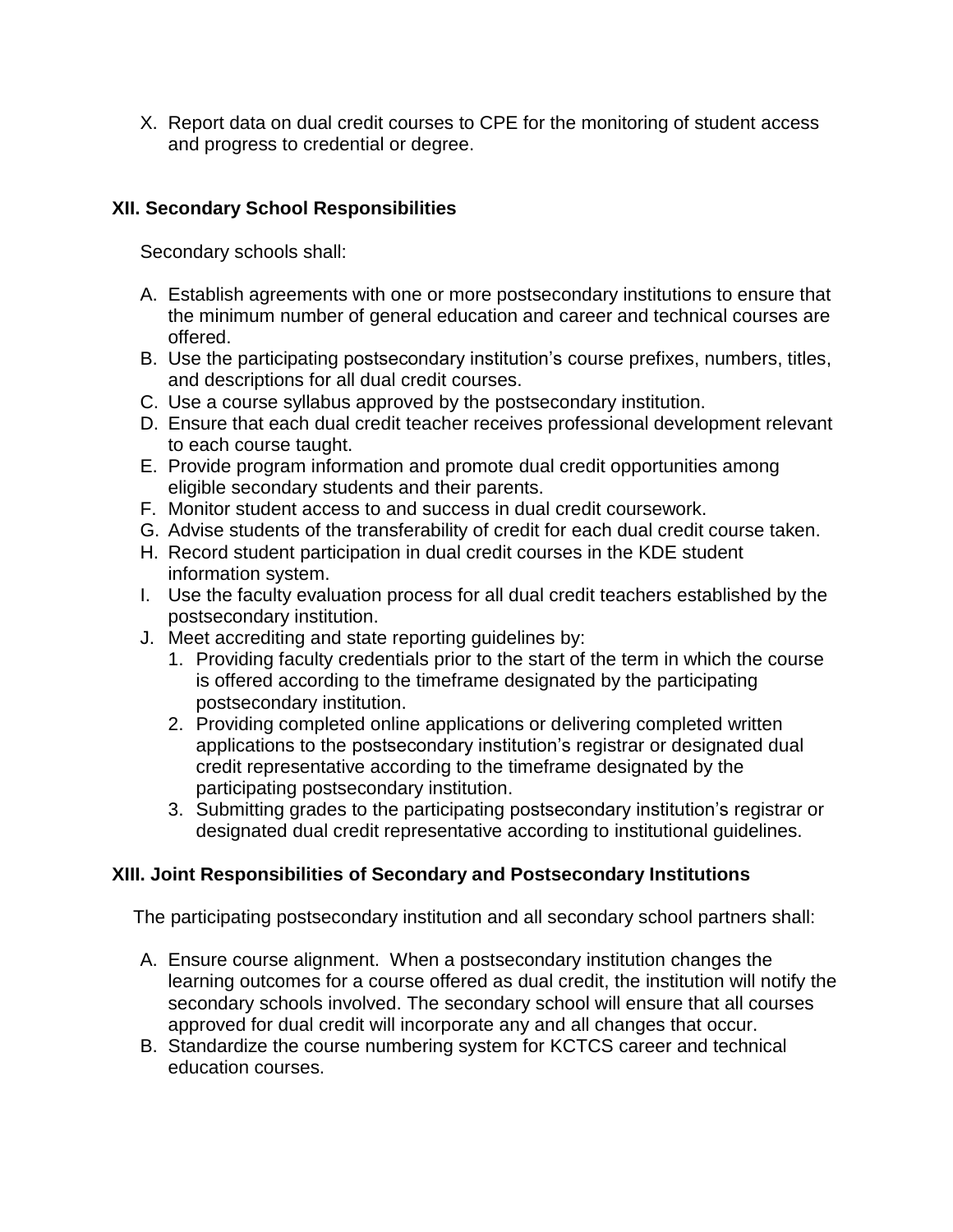X. Report data on dual credit courses to CPE for the monitoring of student access and progress to credential or degree.

#### **XII. Secondary School Responsibilities**

Secondary schools shall:

- A. Establish agreements with one or more postsecondary institutions to ensure that the minimum number of general education and career and technical courses are offered.
- B. Use the participating postsecondary institution's course prefixes, numbers, titles, and descriptions for all dual credit courses.
- C. Use a course syllabus approved by the postsecondary institution.
- D. Ensure that each dual credit teacher receives professional development relevant to each course taught.
- E. Provide program information and promote dual credit opportunities among eligible secondary students and their parents.
- F. Monitor student access to and success in dual credit coursework.
- G. Advise students of the transferability of credit for each dual credit course taken.
- H. Record student participation in dual credit courses in the KDE student information system.
- I. Use the faculty evaluation process for all dual credit teachers established by the postsecondary institution.
- J. Meet accrediting and state reporting guidelines by:
	- 1. Providing faculty credentials prior to the start of the term in which the course is offered according to the timeframe designated by the participating postsecondary institution.
	- 2. Providing completed online applications or delivering completed written applications to the postsecondary institution's registrar or designated dual credit representative according to the timeframe designated by the participating postsecondary institution.
	- 3. Submitting grades to the participating postsecondary institution's registrar or designated dual credit representative according to institutional guidelines.

#### **XIII. Joint Responsibilities of Secondary and Postsecondary Institutions**

The participating postsecondary institution and all secondary school partners shall:

- A. Ensure course alignment. When a postsecondary institution changes the learning outcomes for a course offered as dual credit, the institution will notify the secondary schools involved. The secondary school will ensure that all courses approved for dual credit will incorporate any and all changes that occur.
- B. Standardize the course numbering system for KCTCS career and technical education courses.